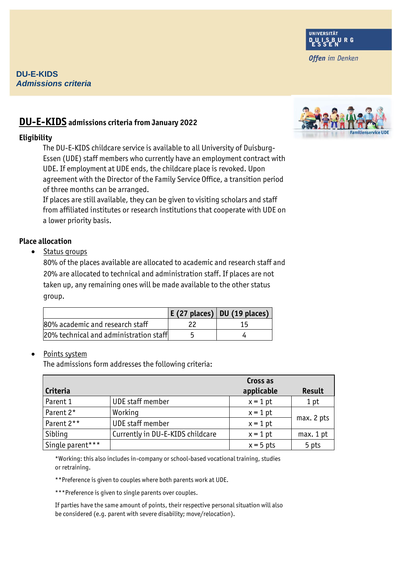## **DU-E-KIDS** *Admissions criteria*

# **DU-E-KIDS admissions criteria from January 2022**

#### **Eligibility**

The DU-E-KIDS childcare service is available to all University of Duisburg-Essen (UDE) staff members who currently have an employment contract with UDE. If employment at UDE ends, the childcare place is revoked. Upon agreement with the Director of the Family Service Office, a transition period of three months can be arranged.

If places are still available, they can be given to visiting scholars and staff from affiliated institutes or research institutions that cooperate with UDE on a lower priority basis.

## **Place allocation**

• Status groups

80% of the places available are allocated to academic and research staff and 20% are allocated to technical and administration staff. If places are not taken up, any remaining ones will be made available to the other status group.

|                                        | $E(27$ places) DU (19 places) |
|----------------------------------------|-------------------------------|
| 80% academic and research staff        |                               |
| 20% technical and administration staff |                               |

## Points system

The admissions form addresses the following criteria:

|                  |                                  | Cross as    |            |
|------------------|----------------------------------|-------------|------------|
| Criteria         |                                  | applicable  | Result     |
| Parent 1         | UDE staff member                 | $x = 1$ pt  | 1 pt       |
| Parent 2*        | Working                          | $x = 1$ pt  |            |
| Parent 2**       | <b>UDE</b> staff member          | $x = 1$ pt  | max. 2 pts |
| Sibling          | Currently in DU-E-KIDS childcare | $x = 1$ pt  | max. 1 pt  |
| Single parent*** |                                  | $x = 5$ pts | 5 pts      |

\*Working: this also includes in-company or school-based vocational training, studies or retraining.

\*\*Preference is given to couples where both parents work at UDE.

\*\*\*Preference is given to single parents over couples.

If parties have the same amount of points, their respective personal situation will also be considered (e.g. parent with severe disability; move/relocation).





**Offen** im Denken